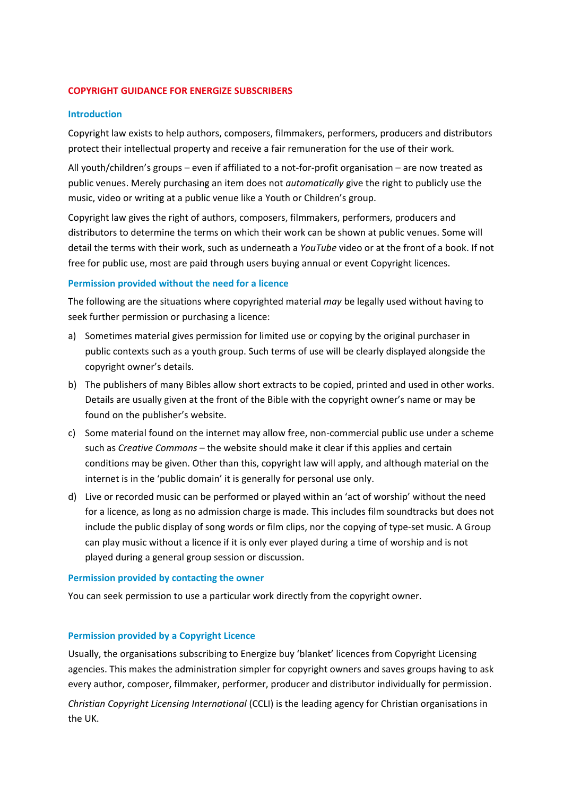### **COPYRIGHT GUIDANCE FOR ENERGIZE SUBSCRIBERS**

### **Introduction**

Copyright law exists to help authors, composers, filmmakers, performers, producers and distributors protect their intellectual property and receive a fair remuneration for the use of their work.

All youth/children's groups – even if affiliated to a not-for-profit organisation – are now treated as public venues. Merely purchasing an item does not *automatically* give the right to publicly use the music, video or writing at a public venue like a Youth or Children's group.

Copyright law gives the right of authors, composers, filmmakers, performers, producers and distributors to determine the terms on which their work can be shown at public venues. Some will detail the terms with their work, such as underneath a *YouTube* video or at the front of a book. If not free for public use, most are paid through users buying annual or event Copyright licences.

#### **Permission provided without the need for a licence**

The following are the situations where copyrighted material *may* be legally used without having to seek further permission or purchasing a licence:

- a) Sometimes material gives permission for limited use or copying by the original purchaser in public contexts such as a youth group. Such terms of use will be clearly displayed alongside the copyright owner's details.
- b) The publishers of many Bibles allow short extracts to be copied, printed and used in other works. Details are usually given at the front of the Bible with the copyright owner's name or may be found on the publisher's website.
- c) Some material found on the internet may allow free, non-commercial public use under a scheme such as *Creative Commons* – the website should make it clear if this applies and certain conditions may be given. Other than this, copyright law will apply, and although material on the internet is in the 'public domain' it is generally for personal use only.
- d) Live or recorded music can be performed or played within an 'act of worship' without the need for a licence, as long as no admission charge is made. This includes film soundtracks but does not include the public display of song words or film clips, nor the copying of type-set music. A Group can play music without a licence if it is only ever played during a time of worship and is not played during a general group session or discussion.

#### **Permission provided by contacting the owner**

You can seek permission to use a particular work directly from the copyright owner.

#### **Permission provided by a Copyright Licence**

Usually, the organisations subscribing to Energize buy 'blanket' licences from Copyright Licensing agencies. This makes the administration simpler for copyright owners and saves groups having to ask every author, composer, filmmaker, performer, producer and distributor individually for permission.

*Christian Copyright Licensing International* (CCLI) is the leading agency for Christian organisations in the UK.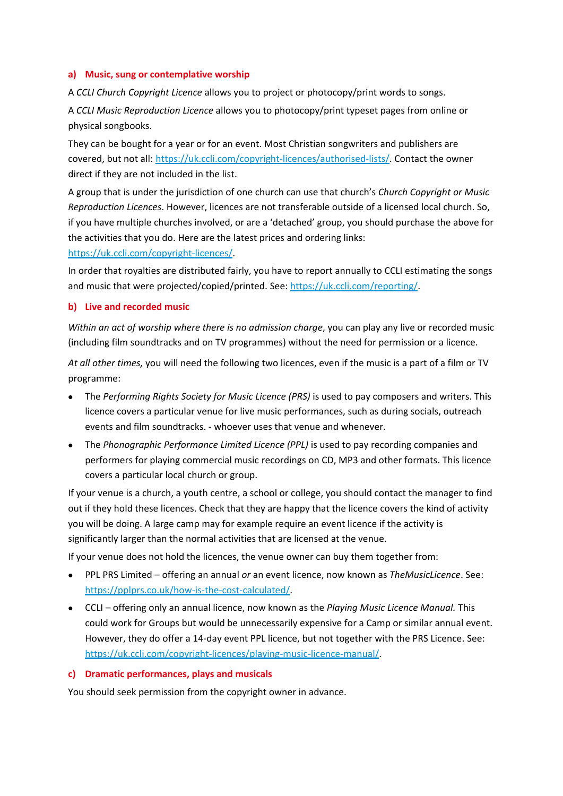### **a) Music, sung or contemplative worship**

A *CCLI Church Copyright Licence* allows you to project or photocopy/print words to songs.

A *CCLI Music Reproduction Licence* allows you to photocopy/print typeset pages from online or physical songbooks.

They can be bought for a year or for an event. Most Christian songwriters and publishers are covered, but not all: [https://uk.ccli.com/copyright-licences/authorised-lists/.](https://uk.ccli.com/copyright-licences/authorised-lists/) Contact the owner direct if they are not included in the list.

A group that is under the jurisdiction of one church can use that church's *Church Copyright or Music Reproduction Licences*. However, licences are not transferable outside of a licensed local church. So, if you have multiple churches involved, or are a 'detached' group, you should purchase the above for the activities that you do. Here are the latest prices and ordering links:

[https://uk.ccli.com/copyright-licences/.](https://uk.ccli.com/copyright-licences/)

In order that royalties are distributed fairly, you have to report annually to CCLI estimating the songs and music that were projected/copied/printed. See: [https://uk.ccli.com/reporting/.](https://uk.ccli.com/reporting/)

## **b) Live and recorded music**

*Within an act of worship where there is no admission charge*, you can play any live or recorded music (including film soundtracks and on TV programmes) without the need for permission or a licence.

*At all other times,* you will need the following two licences, even if the music is a part of a film or TV programme:

- The *Performing Rights Society for Music Licence (PRS)* is used to pay composers and writers. This licence covers a particular venue for live music performances, such as during socials, outreach events and film soundtracks. - whoever uses that venue and whenever.
- The *Phonographic Performance Limited Licence (PPL)* is used to pay recording companies and performers for playing commercial music recordings on CD, MP3 and other formats. This licence covers a particular local church or group.

If your venue is a church, a youth centre, a school or college, you should contact the manager to find out if they hold these licences. Check that they are happy that the licence covers the kind of activity you will be doing. A large camp may for example require an event licence if the activity is significantly larger than the normal activities that are licensed at the venue.

If your venue does not hold the licences, the venue owner can buy them together from:

- PPL PRS Limited offering an annual *or* an event licence, now known as *TheMusicLicence*. See: [https://pplprs.co.uk/how-is-the-cost-calculated/.](https://pplprs.co.uk/how-is-the-cost-calculated/)
- CCLI offering only an annual licence, now known as the *Playing Music Licence Manual.* This could work for Groups but would be unnecessarily expensive for a Camp or similar annual event. However, they do offer a 14-day event PPL licence, but not together with the PRS Licence. See: [https://uk.ccli.com/copyright-licences/playing-music-licence-manual/.](https://uk.ccli.com/copyright-licences/playing-music-licence-manual/)

## **c) Dramatic performances, plays and musicals**

You should seek permission from the copyright owner in advance.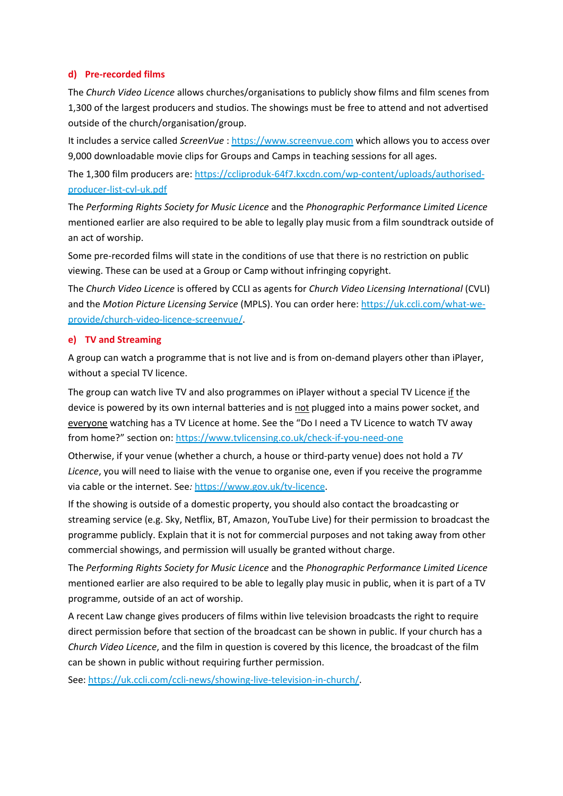# **d) Pre-recorded films**

The *Church Video Licence* allows churches/organisations to publicly show films and film scenes from 1,300 of the largest producers and studios. The showings must be free to attend and not advertised outside of the church/organisation/group.

It includes a service called *ScreenVue* : [https://www.screenvue.com](https://www.screenvue.com/) which allows you to access over 9,000 downloadable movie clips for Groups and Camps in teaching sessions for all ages.

The 1,300 film producers are: [https://ccliproduk-64f7.kxcdn.com/wp-content/uploads/authorised](https://ccliproduk-64f7.kxcdn.com/wp-content/uploads/authorised-producer-list-cvl-uk.pdf)[producer-list-cvl-uk.pdf](https://ccliproduk-64f7.kxcdn.com/wp-content/uploads/authorised-producer-list-cvl-uk.pdf)

The *Performing Rights Society for Music Licence* and the *Phonographic Performance Limited Licence* mentioned earlier are also required to be able to legally play music from a film soundtrack outside of an act of worship.

Some pre-recorded films will state in the conditions of use that there is no restriction on public viewing. These can be used at a Group or Camp without infringing copyright.

The *Church Video Licence* is offered by CCLI as agents for *Church Video Licensing International* (CVLI) and the *Motion Picture Licensing Service* (MPLS). You can order here: [https://uk.ccli.com/what-we](https://uk.ccli.com/what-we-provide/church-video-licence-screenvue/)[provide/church-video-licence-screenvue/.](https://uk.ccli.com/what-we-provide/church-video-licence-screenvue/)

# **e) TV and Streaming**

A group can watch a programme that is not live and is from on-demand players other than iPlayer, without a special TV licence.

The group can watch live TV and also programmes on iPlayer without a special TV Licence if the device is powered by its own internal batteries and is not plugged into a mains power socket, and everyone watching has a TV Licence at home. See the "Do I need a TV Licence to watch TV away from home?" section on:<https://www.tvlicensing.co.uk/check-if-you-need-one>

Otherwise, if your venue (whether a church, a house or third-party venue) does not hold a *TV Licence*, you will need to liaise with the venue to organise one, even if you receive the programme via cable or the internet. See*:* [https://www.gov.uk/tv-licence.](https://www.gov.uk/tv-licence)

If the showing is outside of a domestic property, you should also contact the broadcasting or streaming service (e.g. Sky, Netflix, BT, Amazon, YouTube Live) for their permission to broadcast the programme publicly. Explain that it is not for commercial purposes and not taking away from other commercial showings, and permission will usually be granted without charge.

The *Performing Rights Society for Music Licence* and the *Phonographic Performance Limited Licence* mentioned earlier are also required to be able to legally play music in public, when it is part of a TV programme, outside of an act of worship.

A recent Law change gives producers of films within live television broadcasts the right to require direct permission before that section of the broadcast can be shown in public. If your church has a *Church Video Licence*, and the film in question is covered by this licence, the broadcast of the film can be shown in public without requiring further permission.

See: [https://uk.ccli.com/ccli-news/showing-live-television-in-church/.](https://uk.ccli.com/ccli-news/showing-live-television-in-church/)